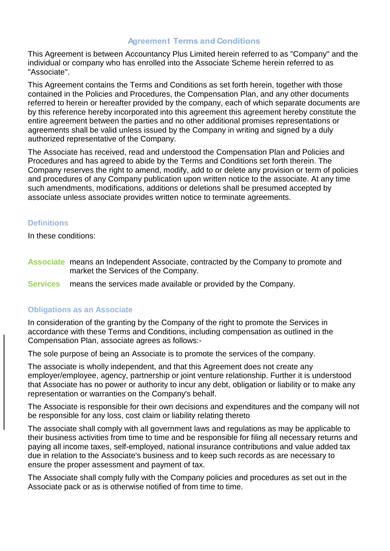#### **Agreement Terms and Conditions**

This Agreement is between Accountancy Plus Limited herein referred to as "Company" and the individual or company who has enrolled into the Associate Scheme herein referred to as "Associate".

This Agreement contains the Terms and Conditions as set forth herein, together with those contained in the Policies and Procedures, the Compensation Plan, and any other documents referred to herein or hereafter provided by the company, each of which separate documents are by this reference hereby incorporated into this agreement this agreement hereby constitute the entire agreement between the parties and no other additional promises representations or agreements shall be valid unless issued by the Company in writing and signed by a duly authorized representative of the Company.

The Associate has received, read and understood the Compensation Plan and Policies and Procedures and has agreed to abide by the Terms and Conditions set forth therein. The Company reserves the right to amend, modify, add to or delete any provision or term of policies and procedures of any Company publication upon written notice to the associate. At any time such amendments, modifications, additions or deletions shall be presumed accepted by associate unless associate provides written notice to terminate agreements.

#### **Definitions**

In these conditions:

- **Associate** means an Independent Associate, contracted by the Company to promote and market the Services of the Company.
- **Services** means the services made available or provided by the Company.

### **Obligations as an Associate**

In consideration of the granting by the Company of the right to promote the Services in accordance with these Terms and Conditions, including compensation as outlined in the Compensation Plan, associate agrees as follows:-

The sole purpose of being an Associate is to promote the services of the company.

The associate is wholly independent, and that this Agreement does not create any employer/employee, agency, partnership or joint venture relationship. Further it is understood that Associate has no power or authority to incur any debt, obligation or liability or to make any representation or warranties on the Company's behalf.

The Associate is responsible for their own decisions and expenditures and the company will not be responsible for any loss, cost claim or liability relating thereto

The associate shall comply with all government laws and regulations as may be applicable to their business activities from time to time and be responsible for filing all necessary returns and paying all income taxes, self-employed, national insurance contributions and value added tax due in relation to the Associate's business and to keep such records as are necessary to ensure the proper assessment and payment of tax.

The Associate shall comply fully with the Company policies and procedures as set out in the Associate pack or as is otherwise notified of from time to time.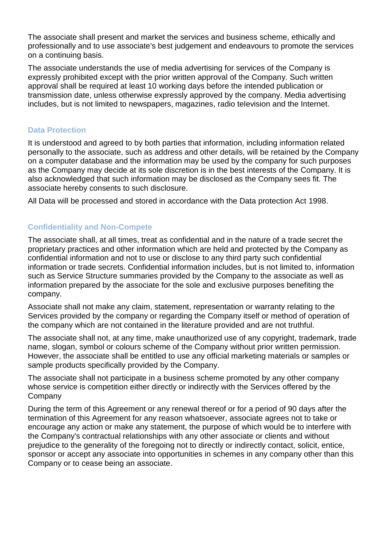The associate shall present and market the services and business scheme, ethically and professionally and to use associate's best judgement and endeavours to promote the services on a continuing basis.

The associate understands the use of media advertising for services of the Company is expressly prohibited except with the prior written approval of the Company. Such written approval shall be required at least 10 working days before the intended publication or transmission date, unless otherwise expressly approved by the company. Media advertising includes, but is not limited to newspapers, magazines, radio television and the Internet.

#### **Data Protection**

It is understood and agreed to by both parties that information, including information related personally to the associate, such as address and other details, will be retained by the Company on a computer database and the information may be used by the company for such purposes as the Company may decide at its sole discretion is in the best interests of the Company. It is also acknowledged that such information may be disclosed as the Company sees fit. The associate hereby consents to such disclosure.

All Data will be processed and stored in accordance with the Data protection Act 1998.

# **Confidentiality and Non-Compete**

The associate shall, at all times, treat as confidential and in the nature of a trade secret the proprietary practices and other information which are held and protected by the Company as confidential information and not to use or disclose to any third party such confidential information or trade secrets. Confidential information includes, but is not limited to, information such as Service Structure summaries provided by the Company to the associate as well as information prepared by the associate for the sole and exclusive purposes benefiting the company.

Associate shall not make any claim, statement, representation or warranty relating to the Services provided by the company or regarding the Company itself or method of operation of the company which are not contained in the literature provided and are not truthful.

The associate shall not, at any time, make unauthorized use of any copyright, trademark, trade name, slogan, symbol or colours scheme of the Company without prior written permission. However, the associate shall be entitled to use any official marketing materials or samples or sample products specifically provided by the Company.

The associate shall not participate in a business scheme promoted by any other company whose service is competition either directly or indirectly with the Services offered by the Company

During the term of this Agreement or any renewal thereof or for a period of 90 days after the termination of this Agreement for any reason whatsoever, associate agrees not to take or encourage any action or make any statement, the purpose of which would be to interfere with the Company's contractual relationships with any other associate or clients and without prejudice to the generality of the foregoing not to directly or indirectly contact, solicit, entice, sponsor or accept any associate into opportunities in schemes in any company other than this Company or to cease being an associate.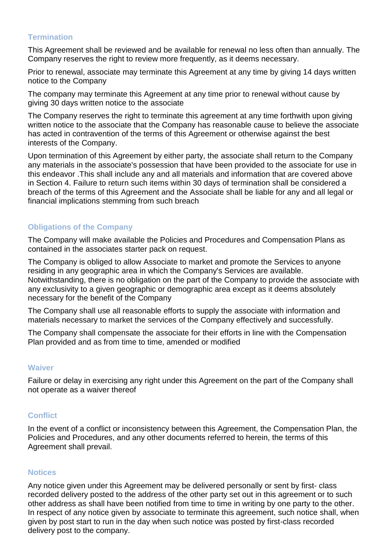### **Termination**

This Agreement shall be reviewed and be available for renewal no less often than annually. The Company reserves the right to review more frequently, as it deems necessary.

Prior to renewal, associate may terminate this Agreement at any time by giving 14 days written notice to the Company

The company may terminate this Agreement at any time prior to renewal without cause by giving 30 days written notice to the associate

The Company reserves the right to terminate this agreement at any time forthwith upon giving written notice to the associate that the Company has reasonable cause to believe the associate has acted in contravention of the terms of this Agreement or otherwise against the best interests of the Company.

Upon termination of this Agreement by either party, the associate shall return to the Company any materials in the associate's possession that have been provided to the associate for use in this endeavor .This shall include any and all materials and information that are covered above in Section 4. Failure to return such items within 30 days of termination shall be considered a breach of the terms of this Agreement and the Associate shall be liable for any and all legal or financial implications stemming from such breach

# **Obligations of the Company**

The Company will make available the Policies and Procedures and Compensation Plans as contained in the associates starter pack on request.

The Company is obliged to allow Associate to market and promote the Services to anyone residing in any geographic area in which the Company's Services are available. Notwithstanding, there is no obligation on the part of the Company to provide the associate with any exclusivity to a given geographic or demographic area except as it deems absolutely necessary for the benefit of the Company

The Company shall use all reasonable efforts to supply the associate with information and materials necessary to market the services of the Company effectively and successfully.

The Company shall compensate the associate for their efforts in line with the Compensation Plan provided and as from time to time, amended or modified

### **Waiver**

Failure or delay in exercising any right under this Agreement on the part of the Company shall not operate as a waiver thereof

# **Conflict**

In the event of a conflict or inconsistency between this Agreement, the Compensation Plan, the Policies and Procedures, and any other documents referred to herein, the terms of this Agreement shall prevail.

### **Notices**

Any notice given under this Agreement may be delivered personally or sent by first- class recorded delivery posted to the address of the other party set out in this agreement or to such other address as shall have been notified from time to time in writing by one party to the other. In respect of any notice given by associate to terminate this agreement, such notice shall, when given by post start to run in the day when such notice was posted by first-class recorded delivery post to the company.